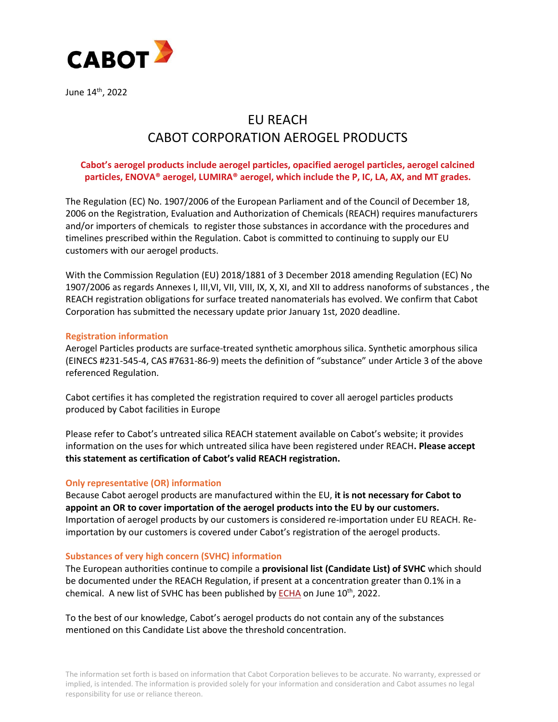

June 14<sup>th</sup>, 2022

# EU REACH CABOT CORPORATION AEROGEL PRODUCTS

## **Cabot's aerogel products include aerogel particles, opacified aerogel particles, aerogel calcined particles, ENOVA® aerogel, LUMIRA® aerogel, which include the P, IC, LA, AX, and MT grades.**

The Regulation (EC) No. 1907/2006 of the European Parliament and of the Council of December 18, 2006 on the Registration, Evaluation and Authorization of Chemicals (REACH) requires manufacturers and/or importers of chemicals to register those substances in accordance with the procedures and timelines prescribed within the Regulation. Cabot is committed to continuing to supply our EU customers with our aerogel products.

With the Commission Regulation (EU) 2018/1881 of 3 December 2018 amending Regulation (EC) No 1907/2006 as regards Annexes I, III,VI, VII, VIII, IX, X, XI, and XII to address nanoforms of substances , the REACH registration obligations for surface treated nanomaterials has evolved. We confirm that Cabot Corporation has submitted the necessary update prior January 1st, 2020 deadline.

## **Registration information**

Aerogel Particles products are surface-treated synthetic amorphous silica. Synthetic amorphous silica (EINECS #231-545-4, CAS #7631-86-9) meets the definition of "substance" under Article 3 of the above referenced Regulation.

Cabot certifies it has completed the registration required to cover all aerogel particles products produced by Cabot facilities in Europe

Please refer to Cabot's untreated silica REACH statement available on Cabot's website; it provides information on the uses for which untreated silica have been registered under REACH**. Please accept this statement as certification of Cabot's valid REACH registration.**

### **Only representative (OR) information**

Because Cabot aerogel products are manufactured within the EU, **it is not necessary for Cabot to appoint an OR to cover importation of the aerogel products into the EU by our customers.** Importation of aerogel products by our customers is considered re-importation under EU REACH. Reimportation by our customers is covered under Cabot's registration of the aerogel products.

### **Substances of very high concern (SVHC) information**

The European authorities continue to compile a **provisional list (Candidate List) of SVHC** which should be documented under the REACH Regulation, if present at a concentration greater than 0.1% in a chemical. A new list of SVHC has been published by **ECHA** on June 10<sup>th</sup>, 2022.

To the best of our knowledge, Cabot's aerogel products do not contain any of the substances mentioned on this Candidate List above the threshold concentration.

The information set forth is based on information that Cabot Corporation believes to be accurate. No warranty, expressed or implied, is intended. The information is provided solely for your information and consideration and Cabot assumes no legal responsibility for use or reliance thereon.